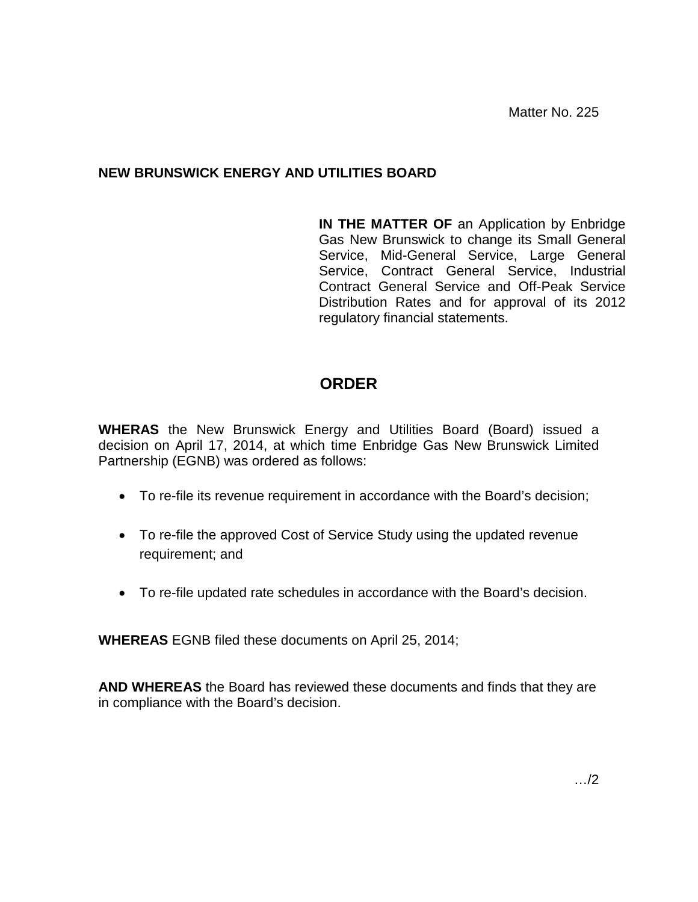Matter No. 225

### **NEW BRUNSWICK ENERGY AND UTILITIES BOARD**

**IN THE MATTER OF** an Application by Enbridge Gas New Brunswick to change its Small General Service, Mid-General Service, Large General Service, Contract General Service, Industrial Contract General Service and Off-Peak Service Distribution Rates and for approval of its 2012 regulatory financial statements.

## **ORDER**

**WHERAS** the New Brunswick Energy and Utilities Board (Board) issued a decision on April 17, 2014, at which time Enbridge Gas New Brunswick Limited Partnership (EGNB) was ordered as follows:

- To re-file its revenue requirement in accordance with the Board's decision;
- To re-file the approved Cost of Service Study using the updated revenue requirement; and
- To re-file updated rate schedules in accordance with the Board's decision.

**WHEREAS** EGNB filed these documents on April 25, 2014;

**AND WHEREAS** the Board has reviewed these documents and finds that they are in compliance with the Board's decision.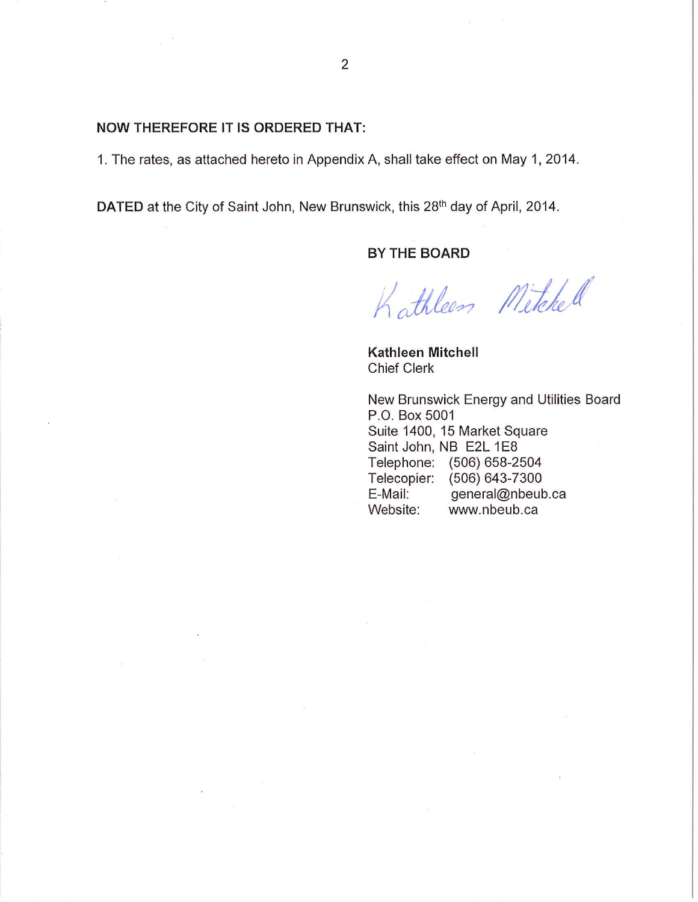#### **NOW THEREFORE IT IS ORDERED THAT:**

1. The rates, as attached hereto in Appendix A, shall take effect on May 1, 2014.

DATED at the City of Saint John, New Brunswick, this 28th day of April, 2014.

#### BY THE BOARD

Kathleen Mitchell

Kathleen Mitchell **Chief Clerk** 

New Brunswick Energy and Utilities Board P.O. Box 5001 Suite 1400, 15 Market Square Saint John, NB E2L 1E8 Telephone: (506) 658-2504 Telecopier: (506) 643-7300 general@nbeub.ca E-Mail: Website: www.nbeub.ca